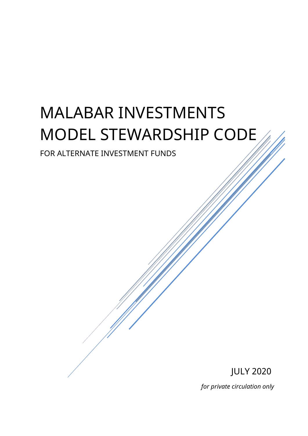# MALABAR INVESTMENTS MODEL STEWARDSHIP CODE

# FOR ALTERNATE INVESTMENT FUNDS

JULY 2020 *for private circulation only*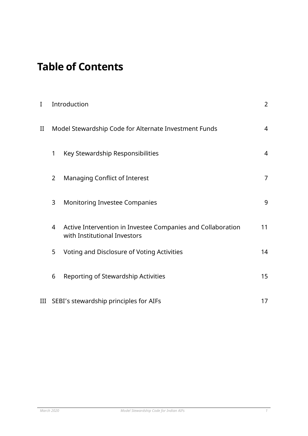# **Table of Contents**

| I        | Introduction                                          |                                                                                             | $\overline{2}$ |
|----------|-------------------------------------------------------|---------------------------------------------------------------------------------------------|----------------|
| $\rm II$ | Model Stewardship Code for Alternate Investment Funds |                                                                                             | 4              |
|          | 1                                                     | Key Stewardship Responsibilities                                                            | $\overline{4}$ |
|          | $\overline{2}$                                        | <b>Managing Conflict of Interest</b>                                                        | $\overline{7}$ |
|          | 3                                                     | <b>Monitoring Investee Companies</b>                                                        | 9              |
|          | 4                                                     | Active Intervention in Investee Companies and Collaboration<br>with Institutional Investors | 11             |
|          | 5                                                     | Voting and Disclosure of Voting Activities                                                  | 14             |
|          | 6                                                     | Reporting of Stewardship Activities                                                         | 15             |
| III      | SEBI's stewardship principles for AIFs                |                                                                                             |                |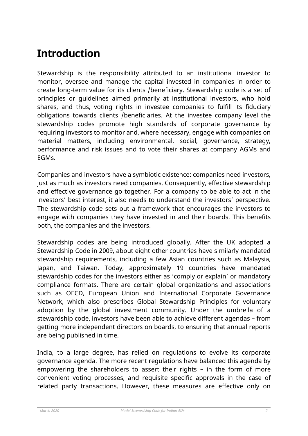# **Introduction**

Stewardship is the responsibility attributed to an institutional investor to monitor, oversee and manage the capital invested in companies in order to create long-term value for its clients /beneficiary. Stewardship code is a set of principles or guidelines aimed primarily at institutional investors, who hold shares, and thus, voting rights in investee companies to fulfill its fiduciary obligations towards clients /beneficiaries. At the investee company level the stewardship codes promote high standards of corporate governance by requiring investors to monitor and, where necessary, engage with companies on material matters, including environmental, social, governance, strategy, performance and risk issues and to vote their shares at company AGMs and EGMs.

Companies and investors have a symbiotic existence: companies need investors, just as much as investors need companies. Consequently, effective stewardship and effective governance go together. For a company to be able to act in the investors' best interest, it also needs to understand the investors' perspective. The stewardship code sets out a framework that encourages the investors to engage with companies they have invested in and their boards. This benefits both, the companies and the investors.

Stewardship codes are being introduced globally. After the UK adopted a Stewardship Code in 2009, about eight other countries have similarly mandated stewardship requirements, including a few Asian countries such as Malaysia, Japan, and Taiwan. Today, approximately 19 countries have mandated stewardship codes for the investors either as 'comply or explain' or mandatory compliance formats. There are certain global organizations and associations such as OECD, European Union and International Corporate Governance Network, which also prescribes Global Stewardship Principles for voluntary adoption by the global investment community. Under the umbrella of a stewardship code, investors have been able to achieve different agendas – from getting more independent directors on boards, to ensuring that annual reports are being published in time.

India, to a large degree, has relied on regulations to evolve its corporate governance agenda. The more recent regulations have balanced this agenda by empowering the shareholders to assert their rights – in the form of more convenient voting processes, and requisite specific approvals in the case of related party transactions. However, these measures are effective only on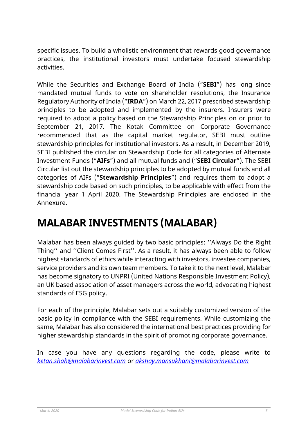specific issues. To build a wholistic environment that rewards good governance practices, the institutional investors must undertake focused stewardship activities.

While the Securities and Exchange Board of India ("**SEBI**") has long since mandated mutual funds to vote on shareholder resolutions, the Insurance Regulatory Authority of India ("**IRDA**") on March 22, 2017 prescribed stewardship principles to be adopted and implemented by the insurers. Insurers were required to adopt a policy based on the Stewardship Principles on or prior to September 21, 2017. The Kotak Committee on Corporate Governance recommended that as the capital market regulator, SEBI must outline stewardship principles for institutional investors. As a result, in December 2019, SEBI published the circular on Stewardship Code for all categories of Alternate Investment Funds ("**AIFs**") and all mutual funds and ("**SEBI Circular**"). The SEBI Circular list out the stewardship principles to be adopted by mutual funds and all categories of AIFs ("**Stewardship Principles**") and requires them to adopt a stewardship code based on such principles, to be applicable with effect from the financial year 1 April 2020. The Stewardship Principles are enclosed in the Annexure.

# **MALABAR INVESTMENTS (MALABAR)**

Malabar has been always guided by two basic principles: ''Always Do the Right Thing'' and ''Client Comes First''. As a result, it has always been able to follow highest standards of ethics while interacting with investors, investee companies, service providers and its own team members. To take it to the next level, Malabar has become signatory to UNPRI (United Nations Responsible Investment Policy), an UK based association of asset managers across the world, advocating highest standards of ESG policy.

For each of the principle, Malabar sets out a suitably customized version of the basic policy in compliance with the SEBI requirements. While customizing the same, Malabar has also considered the international best practices providing for higher stewardship standards in the spirit of promoting corporate governance.

In case you have any questions regarding the code, please write to *[ketan.shah@malabarinvest.com](mailto:ketan.shah@malabarinvest.com)* or *akshay.mansukhani@malabarinvest.com*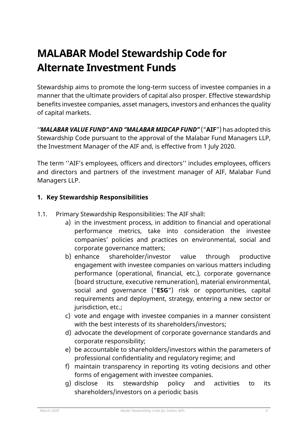# **MALABAR Model Stewardship Code for Alternate Investment Funds**

Stewardship aims to promote the long-term success of investee companies in a manner that the ultimate providers of capital also prosper. Effective stewardship benefits investee companies, asset managers, investors and enhances the quality of capital markets.

'*'MALABAR VALUE FUND'' AND ''MALABAR MIDCAP FUND''* ("**AIF**") has adopted this Stewardship Code pursuant to the approval of the Malabar Fund Managers LLP, the Investment Manager of the AIF and, is effective from 1 July 2020.

The term ''AIF's employees, officers and directors'' includes employees, officers and directors and partners of the investment manager of AIF, Malabar Fund Managers LLP.

# **1. Key Stewardship Responsibilities**

- 1.1. Primary Stewardship Responsibilities: The AIF shall:
	- a) in the investment process, in addition to financial and operational performance metrics, take into consideration the investee companies' policies and practices on environmental, social and corporate governance matters;
	- b) enhance shareholder/investor value through productive engagement with investee companies on various matters including performance (operational, financial, etc.), corporate governance (board structure, executive remuneration), material environmental, social and governance ("**ESG**") risk or opportunities, capital requirements and deployment, strategy, entering a new sector or jurisdiction, etc.;
	- c) vote and engage with investee companies in a manner consistent with the best interests of its shareholders/investors;
	- d) advocate the development of corporate governance standards and corporate responsibility;
	- e) be accountable to shareholders/investors within the parameters of professional confidentiality and regulatory regime; and
	- f) maintain transparency in reporting its voting decisions and other forms of engagement with investee companies.
	- g) disclose its stewardship policy and activities to its shareholders/investors on a periodic basis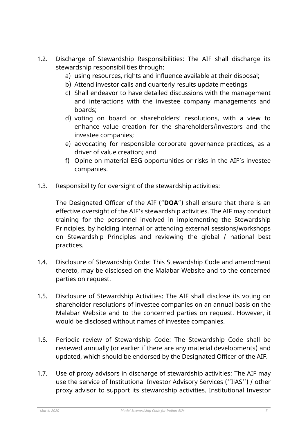- 1.2. Discharge of Stewardship Responsibilities: The AIF shall discharge its stewardship responsibilities through:
	- a) using resources, rights and influence available at their disposal;
	- b) Attend investor calls and quarterly results update meetings
	- c) Shall endeavor to have detailed discussions with the management and interactions with the investee company managements and boards;
	- d) voting on board or shareholders' resolutions, with a view to enhance value creation for the shareholders/investors and the investee companies;
	- e) advocating for responsible corporate governance practices, as a driver of value creation; and
	- f) Opine on material ESG opportunities or risks in the AIF's investee companies.
- 1.3. Responsibility for oversight of the stewardship activities:

The Designated Officer of the AIF ("**DOA**") shall ensure that there is an effective oversight of the AIF's stewardship activities. The AIF may conduct training for the personnel involved in implementing the Stewardship Principles, by holding internal or attending external sessions/workshops on Stewardship Principles and reviewing the global / national best practices.

- 1.4. Disclosure of Stewardship Code: This Stewardship Code and amendment thereto, may be disclosed on the Malabar Website and to the concerned parties on request.
- 1.5. Disclosure of Stewardship Activities: The AIF shall disclose its voting on shareholder resolutions of investee companies on an annual basis on the Malabar Website and to the concerned parties on request. However, it would be disclosed without names of investee companies.
- 1.6. Periodic review of Stewardship Code: The Stewardship Code shall be reviewed annually (or earlier if there are any material developments) and updated, which should be endorsed by the Designated Officer of the AIF.
- 1.7. Use of proxy advisors in discharge of stewardship activities: The AIF may use the service of Institutional Investor Advisory Services (''IiAS'') / other proxy advisor to support its stewardship activities. Institutional Investor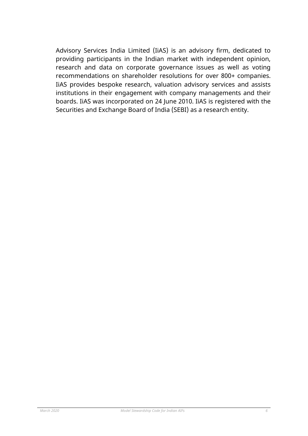Advisory Services India Limited (IiAS) is an advisory firm, dedicated to providing participants in the Indian market with independent opinion, research and data on corporate governance issues as well as voting recommendations on shareholder resolutions for over 800+ companies. IiAS provides bespoke research, valuation advisory services and assists institutions in their engagement with company managements and their boards. IiAS was incorporated on 24 June 2010. IiAS is registered with the Securities and Exchange Board of India (SEBI) as a research entity.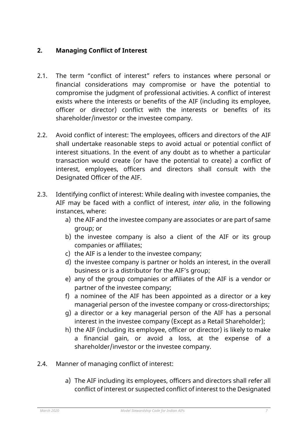# **2. Managing Conflict of Interest**

- 2.1. The term "conflict of interest" refers to instances where personal or financial considerations may compromise or have the potential to compromise the judgment of professional activities. A conflict of interest exists where the interests or benefits of the AIF (including its employee, officer or director) conflict with the interests or benefits of its shareholder/investor or the investee company.
- 2.2. Avoid conflict of interest: The employees, officers and directors of the AIF shall undertake reasonable steps to avoid actual or potential conflict of interest situations. In the event of any doubt as to whether a particular transaction would create (or have the potential to create) a conflict of interest, employees, officers and directors shall consult with the Designated Officer of the AIF.
- 2.3. Identifying conflict of interest: While dealing with investee companies, the AIF may be faced with a conflict of interest, *inter alia*, in the following instances, where:
	- a) the AIF and the investee company are associates or are part of same group; or
	- b) the investee company is also a client of the AIF or its group companies or affiliates;
	- c) the AIF is a lender to the investee company;
	- d) the investee company is partner or holds an interest, in the overall business or is a distributor for the AIF's group;
	- e) any of the group companies or affiliates of the AIF is a vendor or partner of the investee company;
	- f) a nominee of the AIF has been appointed as a director or a key managerial person of the investee company or cross-directorships;
	- g) a director or a key managerial person of the AIF has a personal interest in the investee company (Except as a Retail Shareholder);
	- h) the AIF (including its employee, officer or director) is likely to make a financial gain, or avoid a loss, at the expense of a shareholder/investor or the investee company.
- 2.4. Manner of managing conflict of interest:
	- a) The AIF including its employees, officers and directors shall refer all conflict of interest or suspected conflict of interest to the Designated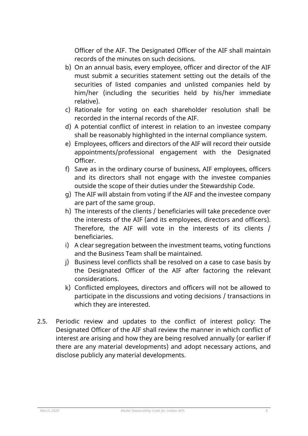Officer of the AIF. The Designated Officer of the AIF shall maintain records of the minutes on such decisions.

- b) On an annual basis, every employee, officer and director of the AIF must submit a securities statement setting out the details of the securities of listed companies and unlisted companies held by him/her (including the securities held by his/her immediate relative).
- c) Rationale for voting on each shareholder resolution shall be recorded in the internal records of the AIF.
- d) A potential conflict of interest in relation to an investee company shall be reasonably highlighted in the internal compliance system.
- e) Employees, officers and directors of the AIF will record their outside appointments/professional engagement with the Designated Officer.
- f) Save as in the ordinary course of business, AIF employees, officers and its directors shall not engage with the investee companies outside the scope of their duties under the Stewardship Code.
- g) The AIF will abstain from voting if the AIF and the investee company are part of the same group.
- h) The interests of the clients / beneficiaries will take precedence over the interests of the AIF (and its employees, directors and officers). Therefore, the AIF will vote in the interests of its clients / beneficiaries.
- i) A clear segregation between the investment teams, voting functions and the Business Team shall be maintained.
- j) Business level conflicts shall be resolved on a case to case basis by the Designated Officer of the AIF after factoring the relevant considerations.
- k) Conflicted employees, directors and officers will not be allowed to participate in the discussions and voting decisions / transactions in which they are interested.
- 2.5. Periodic review and updates to the conflict of interest policy: The Designated Officer of the AIF shall review the manner in which conflict of interest are arising and how they are being resolved annually (or earlier if there are any material developments) and adopt necessary actions, and disclose publicly any material developments.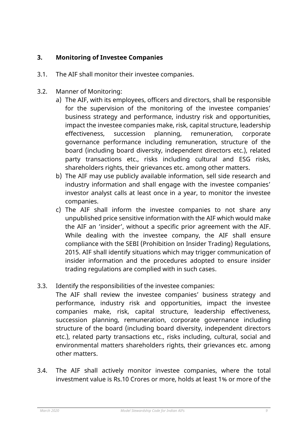# **3. Monitoring of Investee Companies**

- 3.1. The AIF shall monitor their investee companies.
- 3.2. Manner of Monitoring:
	- a) The AIF, with its employees, officers and directors, shall be responsible for the supervision of the monitoring of the investee companies' business strategy and performance, industry risk and opportunities, impact the investee companies make, risk, capital structure, leadership effectiveness, succession planning, remuneration, corporate governance performance including remuneration, structure of the board (including board diversity, independent directors etc.), related party transactions etc., risks including cultural and ESG risks, shareholders rights, their grievances etc. among other matters.
	- b) The AIF may use publicly available information, sell side research and industry information and shall engage with the investee companies' investor analyst calls at least once in a year, to monitor the investee companies.
	- c) The AIF shall inform the investee companies to not share any unpublished price sensitive information with the AIF which would make the AIF an 'insider', without a specific prior agreement with the AIF. While dealing with the investee company, the AIF shall ensure compliance with the SEBI (Prohibition on Insider Trading) Regulations, 2015. AIF shall identify situations which may trigger communication of insider information and the procedures adopted to ensure insider trading regulations are complied with in such cases.
- 3.3. Identify the responsibilities of the investee companies:

The AIF shall review the investee companies' business strategy and performance, industry risk and opportunities, impact the investee companies make, risk, capital structure, leadership effectiveness, succession planning, remuneration, corporate governance including structure of the board (including board diversity, independent directors etc.), related party transactions etc., risks including, cultural, social and environmental matters shareholders rights, their grievances etc. among other matters.

3.4. The AIF shall actively monitor investee companies, where the total investment value is Rs.10 Crores or more, holds at least 1% or more of the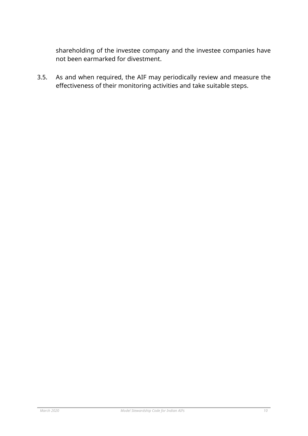shareholding of the investee company and the investee companies have not been earmarked for divestment.

3.5. As and when required, the AIF may periodically review and measure the effectiveness of their monitoring activities and take suitable steps.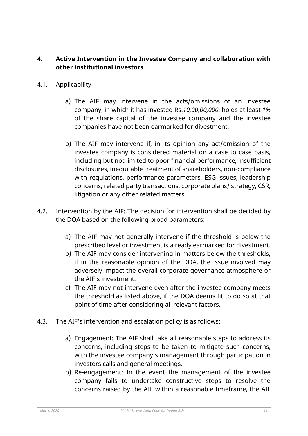# **4. Active Intervention in the Investee Company and collaboration with other institutional investors**

- 4.1. Applicability
	- a) The AIF may intervene in the acts/omissions of an investee company, in which it has invested Rs.*10,00,00,000*, holds at least *1%* of the share capital of the investee company and the investee companies have not been earmarked for divestment.
	- b) The AIF may intervene if, in its opinion any act/omission of the investee company is considered material on a case to case basis, including but not limited to poor financial performance, insufficient disclosures, inequitable treatment of shareholders, non-compliance with regulations, performance parameters, ESG issues, leadership concerns, related party transactions, corporate plans/ strategy, CSR, litigation or any other related matters.
- 4.2. Intervention by the AIF: The decision for intervention shall be decided by the DOA based on the following broad parameters:
	- a) The AIF may not generally intervene if the threshold is below the prescribed level or investment is already earmarked for divestment.
	- b) The AIF may consider intervening in matters below the thresholds, if in the reasonable opinion of the DOA, the issue involved may adversely impact the overall corporate governance atmosphere or the AIF's investment.
	- c) The AIF may not intervene even after the investee company meets the threshold as listed above, if the DOA deems fit to do so at that point of time after considering all relevant factors.
- 4.3. The AIF's intervention and escalation policy is as follows:
	- a) Engagement: The AIF shall take all reasonable steps to address its concerns, including steps to be taken to mitigate such concerns, with the investee company's management through participation in investors calls and general meetings.
	- b) Re-engagement: In the event the management of the investee company fails to undertake constructive steps to resolve the concerns raised by the AIF within a reasonable timeframe, the AIF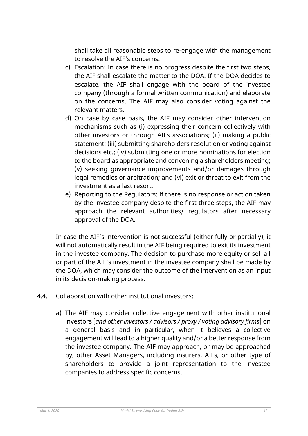shall take all reasonable steps to re-engage with the management to resolve the AIF's concerns.

- c) Escalation: In case there is no progress despite the first two steps, the AIF shall escalate the matter to the DOA. If the DOA decides to escalate, the AIF shall engage with the board of the investee company (through a formal written communication) and elaborate on the concerns. The AIF may also consider voting against the relevant matters.
- d) On case by case basis, the AIF may consider other intervention mechanisms such as (i) expressing their concern collectively with other investors or through AIFs associations; (ii) making a public statement; (iii) submitting shareholders resolution or voting against decisions etc.; (iv) submitting one or more nominations for election to the board as appropriate and convening a shareholders meeting; (v) seeking governance improvements and/or damages through legal remedies or arbitration; and (vi) exit or threat to exit from the investment as a last resort.
- e) Reporting to the Regulators: If there is no response or action taken by the investee company despite the first three steps, the AIF may approach the relevant authorities/ regulators after necessary approval of the DOA.

In case the AIF's intervention is not successful (either fully or partially), it will not automatically result in the AIF being required to exit its investment in the investee company. The decision to purchase more equity or sell all or part of the AIF's investment in the investee company shall be made by the DOA, which may consider the outcome of the intervention as an input in its decision-making process.

- 4.4. Collaboration with other institutional investors:
	- a) The AIF may consider collective engagement with other institutional investors [*and other investors / advisors / proxy / voting advisory firms*] on a general basis and in particular, when it believes a collective engagement will lead to a higher quality and/or a better response from the investee company. The AIF may approach, or may be approached by, other Asset Managers, including insurers, AIFs, or other type of shareholders to provide a joint representation to the investee companies to address specific concerns.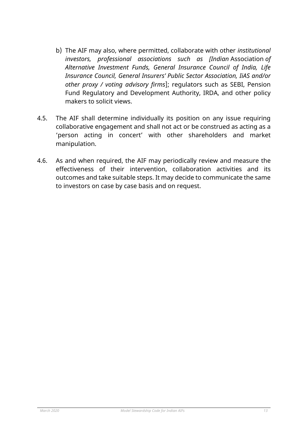- b) The AIF may also, where permitted, collaborate with other *institutional investors, professional associations such as [Indian* Association *of Alternative Investment Funds, General Insurance Council of India, Life Insurance Council, General Insurers' Public Sector Association, IiAS and/or other proxy / voting advisory firms*]; regulators such as SEBI, Pension Fund Regulatory and Development Authority, IRDA, and other policy makers to solicit views.
- 4.5. The AIF shall determine individually its position on any issue requiring collaborative engagement and shall not act or be construed as acting as a 'person acting in concert' with other shareholders and market manipulation.
- 4.6. As and when required, the AIF may periodically review and measure the effectiveness of their intervention, collaboration activities and its outcomes and take suitable steps. It may decide to communicate the same to investors on case by case basis and on request.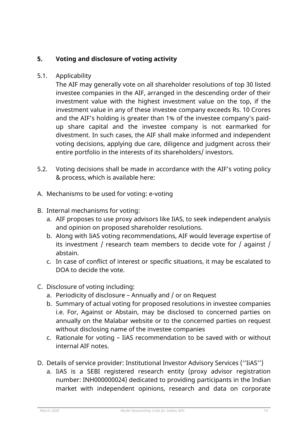# **5. Voting and disclosure of voting activity**

### 5.1. Applicability

The AIF may generally vote on all shareholder resolutions of top 30 listed investee companies in the AIF, arranged in the descending order of their investment value with the highest investment value on the top, if the investment value in any of these investee company exceeds Rs. 10 Crores and the AIF's holding is greater than 1% of the investee company's paidup share capital and the investee company is not earmarked for divestment. In such cases, the AIF shall make informed and independent voting decisions, applying due care, diligence and judgment across their entire portfolio in the interests of its shareholders/ investors.

- 5.2. Voting decisions shall be made in accordance with the AIF's voting policy & process, which is available here:
- A. Mechanisms to be used for voting: e-voting
- B. Internal mechanisms for voting:
	- a. AIF proposes to use proxy advisors like IiAS, to seek independent analysis and opinion on proposed shareholder resolutions.
	- b. Along with IiAS voting recommendations, AIF would leverage expertise of its investment / research team members to decide vote for / against / abstain.
	- c. In case of conflict of interest or specific situations, it may be escalated to DOA to decide the vote.
- C. Disclosure of voting including:
	- a. Periodicity of disclosure Annually and / or on Request
	- b. Summary of actual voting for proposed resolutions in investee companies i.e. For, Against or Abstain, may be disclosed to concerned parties on annually on the Malabar website or to the concerned parties on request without disclosing name of the investee companies
	- c. Rationale for voting IiAS recommendation to be saved with or without internal AIF notes.
- D. Details of service provider: Institutional Investor Advisory Services (''IiAS'')
	- a. IiAS is a SEBI registered research entity (proxy advisor registration number: INH000000024) dedicated to providing participants in the Indian market with independent opinions, research and data on corporate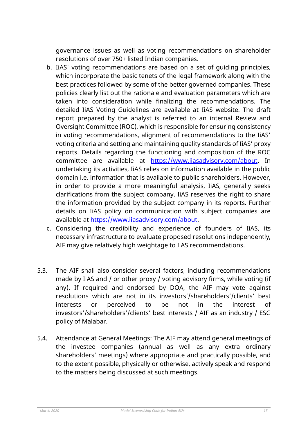governance issues as well as voting recommendations on shareholder resolutions of over 750+ listed Indian companies.

- b. IiAS' voting recommendations are based on a set of guiding principles, which incorporate the basic tenets of the legal framework along with the best practices followed by some of the better governed companies. These policies clearly list out the rationale and evaluation parameters which are taken into consideration while finalizing the recommendations. The detailed IiAS Voting Guidelines are available at IiAS website. The draft report prepared by the analyst is referred to an internal Review and Oversight Committee (ROC), which is responsible for ensuring consistency in voting recommendations, alignment of recommendations to the IiAS' voting criteria and setting and maintaining quality standards of IiAS' proxy reports. Details regarding the functioning and composition of the ROC committee are available at [https://www.iiasadvisory.com/about.](https://www.iiasadvisory.com/about) In undertaking its activities, IiAS relies on information available in the public domain i.e. information that is available to public shareholders. However, in order to provide a more meaningful analysis, IiAS, generally seeks clarifications from the subject company. IiAS reserves the right to share the information provided by the subject company in its reports. Further details on IiAS policy on communication with subject companies are available at [https://www.iiasadvisory.com/about.](https://www.iiasadvisory.com/about)
- c. Considering the credibility and experience of founders of IiAS, its necessary infrastructure to evaluate proposed resolutions independently, AIF may give relatively high weightage to IiAS recommendations.
- 5.3. The AIF shall also consider several factors, including recommendations made by IiAS and / or other proxy / voting advisory firms, while voting (if any). If required and endorsed by DOA, the AIF may vote against resolutions which are not in its investors'/shareholders'/clients' best interests or perceived to be not in the interest of investors'/shareholders'/clients' best interests / AIF as an industry / ESG policy of Malabar.
- 5.4. Attendance at General Meetings: The AIF may attend general meetings of the investee companies (annual as well as any extra ordinary shareholders' meetings) where appropriate and practically possible, and to the extent possible, physically or otherwise, actively speak and respond to the matters being discussed at such meetings.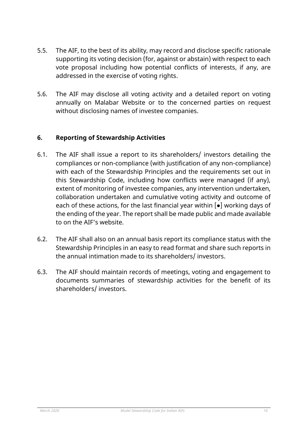- 5.5. The AIF, to the best of its ability, may record and disclose specific rationale supporting its voting decision (for, against or abstain) with respect to each vote proposal including how potential conflicts of interests, if any, are addressed in the exercise of voting rights.
- 5.6. The AIF may disclose all voting activity and a detailed report on voting annually on Malabar Website or to the concerned parties on request without disclosing names of investee companies.

# **6. Reporting of Stewardship Activities**

- 6.1. The AIF shall issue a report to its shareholders/ investors detailing the compliances or non-compliance (with justification of any non-compliance) with each of the Stewardship Principles and the requirements set out in this Stewardship Code, including how conflicts were managed (if any), extent of monitoring of investee companies, any intervention undertaken, collaboration undertaken and cumulative voting activity and outcome of each of these actions, for the last financial year within  $\lceil \bullet \rceil$  working days of the ending of the year. The report shall be made public and made available to on the AIF's website.
- 6.2. The AIF shall also on an annual basis report its compliance status with the Stewardship Principles in an easy to read format and share such reports in the annual intimation made to its shareholders/ investors.
- 6.3. The AIF should maintain records of meetings, voting and engagement to documents summaries of stewardship activities for the benefit of its shareholders/ investors.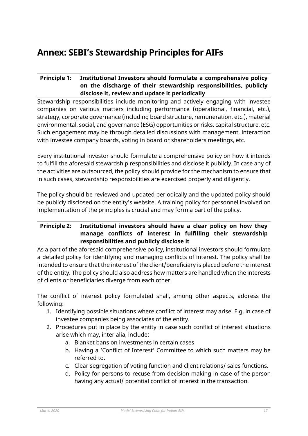# **Annex: SEBI's Stewardship Principles for AIFs**

## **Principle 1: Institutional Investors should formulate a comprehensive policy on the discharge of their stewardship responsibilities, publicly disclose it, review and update it periodically**

Stewardship responsibilities include monitoring and actively engaging with investee companies on various matters including performance (operational, financial, etc.), strategy, corporate governance (including board structure, remuneration, etc.), material environmental, social, and governance (ESG) opportunities or risks, capital structure, etc. Such engagement may be through detailed discussions with management, interaction with investee company boards, voting in board or shareholders meetings, etc.

Every institutional investor should formulate a comprehensive policy on how it intends to fulfill the aforesaid stewardship responsibilities and disclose it publicly. In case any of the activities are outsourced, the policy should provide for the mechanism to ensure that in such cases, stewardship responsibilities are exercised properly and diligently.

The policy should be reviewed and updated periodically and the updated policy should be publicly disclosed on the entity's website. A training policy for personnel involved on implementation of the principles is crucial and may form a part of the policy.

### **Principle 2: Institutional investors should have a clear policy on how they manage conflicts of interest in fulfilling their stewardship responsibilities and publicly disclose it**

As a part of the aforesaid comprehensive policy, institutional investors should formulate a detailed policy for identifying and managing conflicts of interest. The policy shall be intended to ensure that the interest of the client/beneficiary is placed before the interest of the entity. The policy should also address how matters are handled when the interests of clients or beneficiaries diverge from each other.

The conflict of interest policy formulated shall, among other aspects, address the following:

- 1. Identifying possible situations where conflict of interest may arise. E.g. in case of investee companies being associates of the entity.
- 2. Procedures put in place by the entity in case such conflict of interest situations arise which may, inter alia, include:
	- a. Blanket bans on investments in certain cases
	- b. Having a 'Conflict of Interest' Committee to which such matters may be referred to.
	- c. Clear segregation of voting function and client relations/ sales functions.
	- d. Policy for persons to recuse from decision making in case of the person having any actual/ potential conflict of interest in the transaction.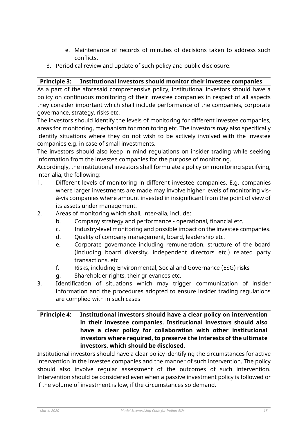- e. Maintenance of records of minutes of decisions taken to address such conflicts.
- 3. Periodical review and update of such policy and public disclosure.

## **Principle 3: Institutional investors should monitor their investee companies**

As a part of the aforesaid comprehensive policy, institutional investors should have a policy on continuous monitoring of their investee companies in respect of all aspects they consider important which shall include performance of the companies, corporate governance, strategy, risks etc.

The investors should identify the levels of monitoring for different investee companies, areas for monitoring, mechanism for monitoring etc. The investors may also specifically identify situations where they do not wish to be actively involved with the investee companies e.g. in case of small investments.

The investors should also keep in mind regulations on insider trading while seeking information from the investee companies for the purpose of monitoring.

Accordingly, the institutional investors shall formulate a policy on monitoring specifying, inter-alia, the following:

- 1. Different levels of monitoring in different investee companies. E.g. companies where larger investments are made may involve higher levels of monitoring visà-vis companies where amount invested in insignificant from the point of view of its assets under management.
- 2. Areas of monitoring which shall, inter-alia, include:
	- b. Company strategy and performance operational, financial etc.
	- c. Industry-level monitoring and possible impact on the investee companies.
	- d. Quality of company management, board, leadership etc.
	- e. Corporate governance including remuneration, structure of the board (including board diversity, independent directors etc.) related party transactions, etc.
	- f. Risks, including Environmental, Social and Governance (ESG) risks
	- g. Shareholder rights, their grievances etc.
- 3. Identification of situations which may trigger communication of insider information and the procedures adopted to ensure insider trading regulations are complied with in such cases

### **Principle 4: Institutional investors should have a clear policy on intervention in their investee companies. Institutional investors should also have a clear policy for collaboration with other institutional investors where required, to preserve the interests of the ultimate investors, which should be disclosed.**

Institutional investors should have a clear policy identifying the circumstances for active intervention in the investee companies and the manner of such intervention. The policy should also involve regular assessment of the outcomes of such intervention. Intervention should be considered even when a passive investment policy is followed or if the volume of investment is low, if the circumstances so demand.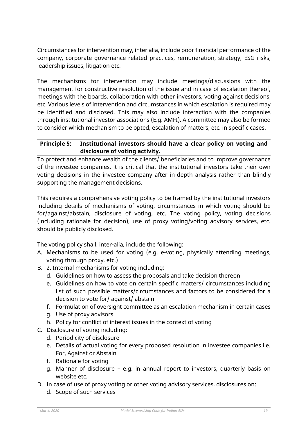Circumstances for intervention may, inter alia, include poor financial performance of the company, corporate governance related practices, remuneration, strategy, ESG risks, leadership issues, litigation etc.

The mechanisms for intervention may include meetings/discussions with the management for constructive resolution of the issue and in case of escalation thereof, meetings with the boards, collaboration with other investors, voting against decisions, etc. Various levels of intervention and circumstances in which escalation is required may be identified and disclosed. This may also include interaction with the companies through institutional investor associations (E.g. AMFI). A committee may also be formed to consider which mechanism to be opted, escalation of matters, etc. in specific cases.

#### **Principle 5: Institutional investors should have a clear policy on voting and disclosure of voting activity.**

To protect and enhance wealth of the clients/ beneficiaries and to improve governance of the investee companies, it is critical that the institutional investors take their own voting decisions in the investee company after in-depth analysis rather than blindly supporting the management decisions.

This requires a comprehensive voting policy to be framed by the institutional investors including details of mechanisms of voting, circumstances in which voting should be for/against/abstain, disclosure of voting, etc. The voting policy, voting decisions (including rationale for decision), use of proxy voting/voting advisory services, etc. should be publicly disclosed.

The voting policy shall, inter-alia, include the following:

- A. Mechanisms to be used for voting (e.g. e-voting, physically attending meetings, voting through proxy, etc.)
- B. 2. Internal mechanisms for voting including:
	- d. Guidelines on how to assess the proposals and take decision thereon
	- e. Guidelines on how to vote on certain specific matters/ circumstances including list of such possible matters/circumstances and factors to be considered for a decision to vote for/ against/ abstain
	- f. Formulation of oversight committee as an escalation mechanism in certain cases
	- g. Use of proxy advisors
	- h. Policy for conflict of interest issues in the context of voting
- C. Disclosure of voting including:
	- d. Periodicity of disclosure
	- e. Details of actual voting for every proposed resolution in investee companies i.e. For, Against or Abstain
	- f. Rationale for voting
	- g. Manner of disclosure e.g. in annual report to investors, quarterly basis on website etc.
- D. In case of use of proxy voting or other voting advisory services, disclosures on:
	- d. Scope of such services